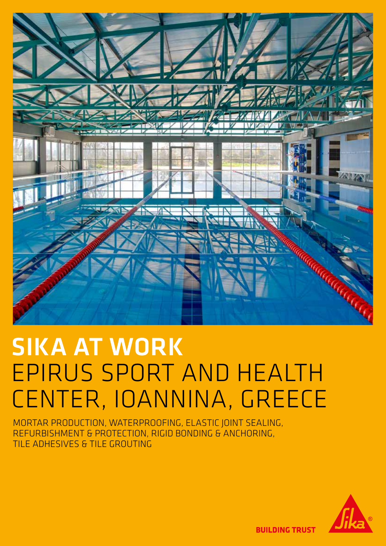

# SIKA AT WORK EPIRUS SPORT AND HEALTH CENTER, IOANNINA, GREECE

MORTAR PRODUCTION, WATERPROOFING, ELASTIC JOINT SEALING, REFURBISHMENT & PROTECTION, RIGID BONDING & ANCHORING, TILE ADHESIVES & TILE GROUTING



**BUILDING TRUST**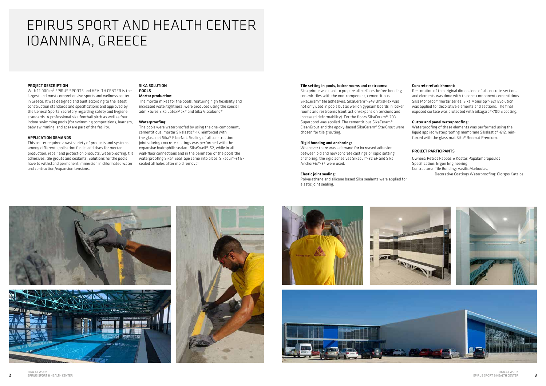2

# PROJECT DESCRIPTION

With 12,000 m² EPIRUS SPORTS and HEALTH CENTER is the largest and most comprehensive sports and wellness center in Greece. It was designed and built according to the latest construction standards and specifications and approved by the General Sports Secretary regarding safety and hygiene standards. A professional size football pitch as well as four indoor swimming pools (for swimming competitions, learners, baby swimming, and spa) are part of the facility.

#### APPLICATION DEMANDS

This center required a vast variety of products and systems among different application fields: additives for mortar production, repair and protection products, waterproofing, tile adhesives, tile grouts and sealants. Solutions for the pools have to withstand permanent immersion in chlorinated water and contraction/expansion tensions.

#### SIKA SOLUTION POOLS

# Mortar production:

The mortar mixes for the pools, featuring high flexibility and increased watertightness, were produced using the special admixtures Sika LatexMax® and Sika Viscobond®.

#### Waterproofing:

The pools were waterproofed by using the one-component, cementitious, mortar Sikalastic®-1K reinforced with the glass net Sika® FiberNet. Sealing of all construction joints during concrete castings was performed with the expansive hydrophilic sealant SikaSwell®-S2, while in all wall-floor connections and in the perimeter of the pools the waterproofing Sika® SealTape came into place. Sikadur®-31 EF sealed all holes after mold removal.

# EPIRUS SPORT AND HEALTH CENTER IOANNINA, GREECE

#### Tile setting in pools, locker rooms and restrooms:

Sika primer was used to prepare all surfaces before bonding ceramic tiles with the one-component, cementitious SikaCeram® tile adhesives. SikaCeram®-243 UltraFlex was not only used in pools but as well on gypsum boards in locker rooms and restrooms (contraction/expansion tensions and increased deformability). For the floors SikaCeram®-203 Superbond was applied. The cementitious SikaCeram® CleanGrout and the epoxy-based SikaCeram® StarGrout were chosen for tile grouting.

## Rigid bonding and anchoring:

Whenever there was a demand for increased adhesion between old and new concrete castings or rapid setting anchoring, the rigid adhesives Sikadur®-32 EF and Sika AnchorFix®-3+ were used.

## Elastic joint sealing:

Polyurethane and silicone based Sika sealants were applied for elastic joint sealing.









# Concrete refurbishment:

Restoration of the original dimensions of all concrete sections and elements was done with the one-component cementitious Sika MonoTop® mortar series. Sika MonoTop®-621 Evolution was applied for decorative elements and sections. The final exposed surface was protected with Sikagard®-700 S coating.

## Gutter and panel waterproofing:

Waterproofing of these elements was performed using the liquid applied waterproofing membrane Sikalastic®-612, reinforced with the glass mat Sika® Reemat Premium.

# PROJECT PARTICIPANTS

Owners: Petros Pappas & Kostas Papalambropoulos Specification: Ergon Engineering Contractors: Tile Bonding: Vasilis Markoulas, Decorative Coatings Waterproofing: Giorgos Katsios